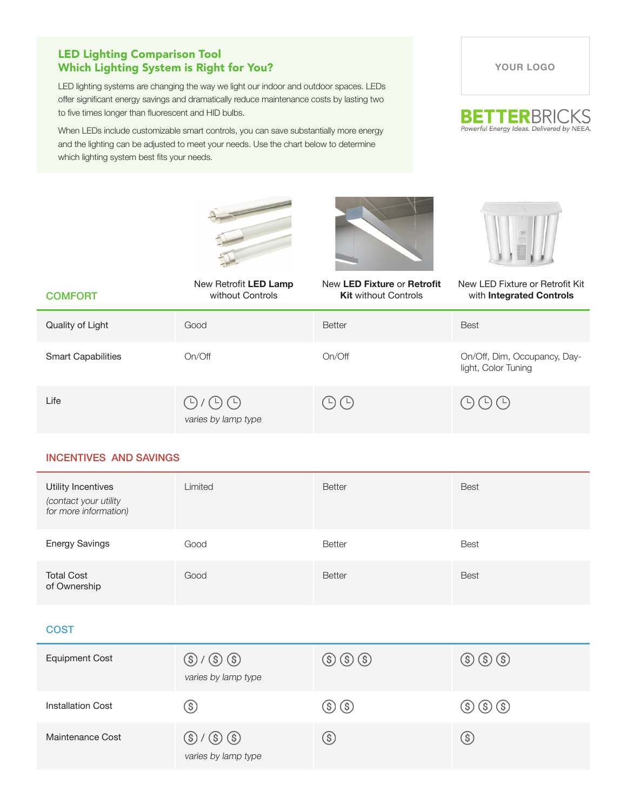# LED Lighting Comparison Tool Which Lighting System is Right for You?

LED lighting systems are changing the way we light our indoor and outdoor spaces. LEDs offer significant energy savings and dramatically reduce maintenance costs by lasting two to five times longer than fluorescent and HID bulbs.

When LEDs include customizable smart controls, you can save substantially more energy and the lighting can be adjusted to meet your needs. Use the chart below to determine which lighting system best fits your needs.

**YOUR LOGO**



| <b>COMFORT</b>            | New Retrofit LED Lamp<br>without Controls                    | New LED Fixture or Retrofit<br><b>Kit without Controls</b> | New LED Fixture or Retrofit Kit<br>with Integrated Controls |
|---------------------------|--------------------------------------------------------------|------------------------------------------------------------|-------------------------------------------------------------|
| Quality of Light          | Good                                                         | <b>Better</b>                                              | <b>Best</b>                                                 |
| <b>Smart Capabilities</b> | On/Off                                                       | On/Off                                                     | On/Off, Dim, Occupancy, Day-<br>light, Color Tuning         |
| Life                      | $\bigoplus$ / $\bigoplus$ $\bigoplus$<br>varies by lamp type |                                                            | (4) (4)                                                     |

## INCENTIVES AND SAVINGS

| Utility Incentives<br>(contact your utility<br>for more information) | Limited | <b>Better</b> | <b>Best</b> |
|----------------------------------------------------------------------|---------|---------------|-------------|
| <b>Energy Savings</b>                                                | Good    | <b>Better</b> | <b>Best</b> |
| <b>Total Cost</b><br>of Ownership                                    | Good    | <b>Better</b> | <b>Best</b> |

### **COST**

| <b>Equipment Cost</b>    | $\circledS$ / $\circledS$ $\circledS$<br>varies by lamp type | $\circledS$ $\circledS$ $\circledS$ | $\circledS$ $\circledS$ $\circledS$ |
|--------------------------|--------------------------------------------------------------|-------------------------------------|-------------------------------------|
| <b>Installation Cost</b> | \$)                                                          | $(\text{\$})\ (\text{\$})$          | (\$) (\$) (\$)                      |
| Maintenance Cost         | $\circledS$ / $\circledS$ $\circledS$<br>varies by lamp type | $\mathcal{S}$                       | S                                   |